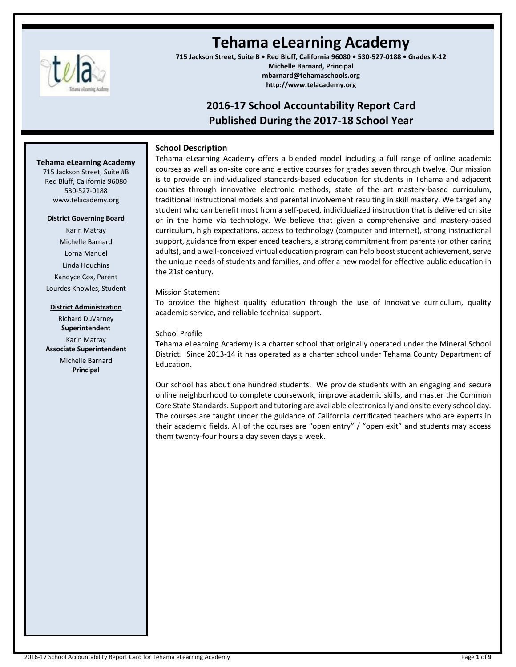

# **Tehama eLearning Academy**

**715 Jackson Street, Suite B • Red Bluff, California 96080 • 530-527-0188 • Grades K-12 Michelle Barnard, Principal mbarnard@tehamaschools.org http://www.telacademy.org**

## **2016-17 School Accountability Report Card Published During the 2017-18 School Year**

## **School Description**

#### **Tehama eLearning Academy**

715 Jackson Street, Suite #B Red Bluff, California 96080 530-527-0188 www.telacademy.org

## **District Governing Board**

Karin Matray Michelle Barnard Lorna Manuel Linda Houchins Kandyce Cox, Parent Lourdes Knowles, Student

## **District Administration**

Richard DuVarney **Superintendent** Karin Matray **Associate Superintendent** Michelle Barnard **Principal**

Tehama eLearning Academy offers a blended model including a full range of online academic courses as well as on-site core and elective courses for grades seven through twelve. Our mission is to provide an individualized standards-based education for students in Tehama and adjacent counties through innovative electronic methods, state of the art mastery-based curriculum, traditional instructional models and parental involvement resulting in skill mastery. We target any student who can benefit most from a self-paced, individualized instruction that is delivered on site or in the home via technology. We believe that given a comprehensive and mastery-based curriculum, high expectations, access to technology (computer and internet), strong instructional support, guidance from experienced teachers, a strong commitment from parents (or other caring adults), and a well-conceived virtual education program can help boost student achievement, serve the unique needs of students and families, and offer a new model for effective public education in the 21st century.

## Mission Statement

To provide the highest quality education through the use of innovative curriculum, quality academic service, and reliable technical support.

## School Profile

Tehama eLearning Academy is a charter school that originally operated under the Mineral School District. Since 2013-14 it has operated as a charter school under Tehama County Department of Education.

Our school has about one hundred students. We provide students with an engaging and secure online neighborhood to complete coursework, improve academic skills, and master the Common Core State Standards. Support and tutoring are available electronically and onsite every school day. The courses are taught under the guidance of California certificated teachers who are experts in their academic fields. All of the courses are "open entry" / "open exit" and students may access them twenty-four hours a day seven days a week.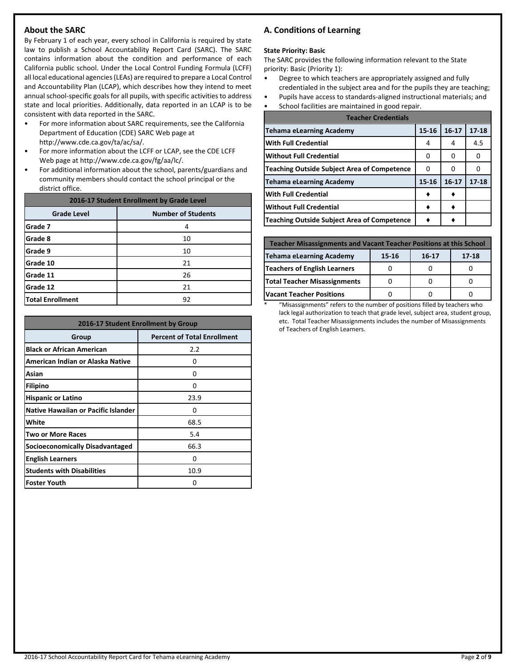## **About the SARC**

By February 1 of each year, every school in California is required by state law to publish a School Accountability Report Card (SARC). The SARC contains information about the condition and performance of each California public school. Under the Local Control Funding Formula (LCFF) all local educational agencies (LEAs) are required to prepare a Local Control and Accountability Plan (LCAP), which describes how they intend to meet annual school-specific goals for all pupils, with specific activities to address state and local priorities. Additionally, data reported in an LCAP is to be consistent with data reported in the SARC.

- For more information about SARC requirements, see the California Department of Education (CDE) SARC Web page at http://www.cde.ca.gov/ta/ac/sa/.
- For more information about the LCFF or LCAP, see the CDE LCFF Web page at http://www.cde.ca.gov/fg/aa/lc/.
- For additional information about the school, parents/guardians and community members should contact the school principal or the district office.

| 2016-17 Student Enrollment by Grade Level       |    |  |  |  |
|-------------------------------------------------|----|--|--|--|
| <b>Number of Students</b><br><b>Grade Level</b> |    |  |  |  |
| Grade 7                                         | 4  |  |  |  |
| Grade 8                                         | 10 |  |  |  |
| Grade 9                                         | 10 |  |  |  |
| Grade 10                                        | 21 |  |  |  |
| Grade 11                                        | 26 |  |  |  |
| Grade 12                                        | 21 |  |  |  |
| <b>Total Enrollment</b>                         | 92 |  |  |  |

| 2016-17 Student Enrollment by Group        |                                    |  |  |
|--------------------------------------------|------------------------------------|--|--|
| Group                                      | <b>Percent of Total Enrollment</b> |  |  |
| <b>Black or African American</b>           | 2.2                                |  |  |
| American Indian or Alaska Native           | 0                                  |  |  |
| Asian                                      | 0                                  |  |  |
| <b>Filipino</b>                            | 0                                  |  |  |
| <b>Hispanic or Latino</b>                  | 23.9                               |  |  |
| <b>Native Hawaiian or Pacific Islander</b> | O                                  |  |  |
| White                                      | 68.5                               |  |  |
| Two or More Races                          | 5.4                                |  |  |
| <b>Socioeconomically Disadvantaged</b>     | 66.3                               |  |  |
| <b>English Learners</b>                    | 0                                  |  |  |
| <b>Students with Disabilities</b>          | 10.9                               |  |  |
| <b>Foster Youth</b>                        | Ω                                  |  |  |

## **A. Conditions of Learning**

#### **State Priority: Basic**

The SARC provides the following information relevant to the State priority: Basic (Priority 1):

- Degree to which teachers are appropriately assigned and fully credentialed in the subject area and for the pupils they are teaching;
- Pupils have access to standards-aligned instructional materials; and
- School facilities are maintained in good repair.

| <b>Teacher Credentials</b>                         |           |           |           |  |  |  |
|----------------------------------------------------|-----------|-----------|-----------|--|--|--|
| <b>Tehama eLearning Academy</b>                    | $15 - 16$ | $16 - 17$ | $17 - 18$ |  |  |  |
| <b>With Full Credential</b>                        | 4         | 4         | 4.5       |  |  |  |
| <b>Without Full Credential</b>                     | O         | O         | O         |  |  |  |
| <b>Teaching Outside Subject Area of Competence</b> | ŋ         |           |           |  |  |  |
| <b>Tehama eLearning Academy</b>                    | 15-16     | $16 - 17$ | $17 - 18$ |  |  |  |
| <b>With Full Credential</b>                        |           |           |           |  |  |  |
| <b>Without Full Credential</b>                     |           |           |           |  |  |  |
| <b>Teaching Outside Subject Area of Competence</b> |           |           |           |  |  |  |

| <b>Teacher Misassignments and Vacant Teacher Positions at this School</b> |  |  |  |  |  |  |  |
|---------------------------------------------------------------------------|--|--|--|--|--|--|--|
| <b>Tehama eLearning Academy</b><br>17-18<br>15-16<br>$16 - 17$            |  |  |  |  |  |  |  |
| <b>Teachers of English Learners</b>                                       |  |  |  |  |  |  |  |
| Total Teacher Misassignments                                              |  |  |  |  |  |  |  |
| <b>Vacant Teacher Positions</b>                                           |  |  |  |  |  |  |  |

\* "Misassignments" refers to the number of positions filled by teachers who lack legal authorization to teach that grade level, subject area, student group, etc. Total Teacher Misassignments includes the number of Misassignments of Teachers of English Learners.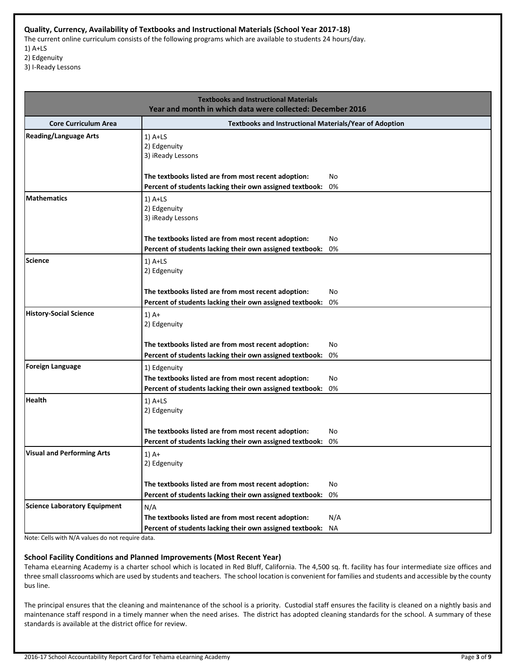## **Quality, Currency, Availability of Textbooks and Instructional Materials (School Year 2017-18)**

The current online curriculum consists of the following programs which are available to students 24 hours/day. 1) A+LS

2) Edgenuity

3) I-Ready Lessons

| <b>Textbooks and Instructional Materials</b><br>Year and month in which data were collected: December 2016 |                                                                                                                                 |           |  |  |  |
|------------------------------------------------------------------------------------------------------------|---------------------------------------------------------------------------------------------------------------------------------|-----------|--|--|--|
| <b>Core Curriculum Area</b>                                                                                | <b>Textbooks and Instructional Materials/Year of Adoption</b>                                                                   |           |  |  |  |
| <b>Reading/Language Arts</b>                                                                               | $1)$ A+LS<br>2) Edgenuity<br>3) iReady Lessons                                                                                  |           |  |  |  |
|                                                                                                            | The textbooks listed are from most recent adoption:<br>Percent of students lacking their own assigned textbook:                 | No<br>0%  |  |  |  |
| <b>Mathematics</b>                                                                                         | $1)$ A+LS<br>2) Edgenuity<br>3) iReady Lessons                                                                                  | No        |  |  |  |
|                                                                                                            | The textbooks listed are from most recent adoption:<br>Percent of students lacking their own assigned textbook:                 | 0%        |  |  |  |
| <b>Science</b>                                                                                             | $1)$ A+LS<br>2) Edgenuity                                                                                                       |           |  |  |  |
|                                                                                                            | The textbooks listed are from most recent adoption:<br>Percent of students lacking their own assigned textbook:                 | No<br>0%  |  |  |  |
| <b>History-Social Science</b>                                                                              | $1)$ A+<br>2) Edgenuity                                                                                                         |           |  |  |  |
|                                                                                                            | The textbooks listed are from most recent adoption:                                                                             | No        |  |  |  |
|                                                                                                            | Percent of students lacking their own assigned textbook:                                                                        | 0%        |  |  |  |
| <b>Foreign Language</b>                                                                                    | 1) Edgenuity<br>The textbooks listed are from most recent adoption:<br>Percent of students lacking their own assigned textbook: | No<br>0%  |  |  |  |
| <b>Health</b>                                                                                              | $1)$ A+LS<br>2) Edgenuity                                                                                                       |           |  |  |  |
|                                                                                                            | The textbooks listed are from most recent adoption:<br>Percent of students lacking their own assigned textbook:                 | No<br>0%  |  |  |  |
| <b>Visual and Performing Arts</b>                                                                          | $1)$ A+<br>2) Edgenuity                                                                                                         |           |  |  |  |
|                                                                                                            | The textbooks listed are from most recent adoption:<br>Percent of students lacking their own assigned textbook:                 | No<br>0%  |  |  |  |
| Science Laboratory Equipment                                                                               | N/A                                                                                                                             |           |  |  |  |
|                                                                                                            | The textbooks listed are from most recent adoption:<br>Percent of students lacking their own assigned textbook:                 | N/A<br>NA |  |  |  |

Note: Cells with N/A values do not require data.

#### **School Facility Conditions and Planned Improvements (Most Recent Year)**

Tehama eLearning Academy is a charter school which is located in Red Bluff, California. The 4,500 sq. ft. facility has four intermediate size offices and three small classrooms which are used by students and teachers. The school location is convenient for families and students and accessible by the county bus line.

The principal ensures that the cleaning and maintenance of the school is a priority. Custodial staff ensures the facility is cleaned on a nightly basis and maintenance staff respond in a timely manner when the need arises. The district has adopted cleaning standards for the school. A summary of these standards is available at the district office for review.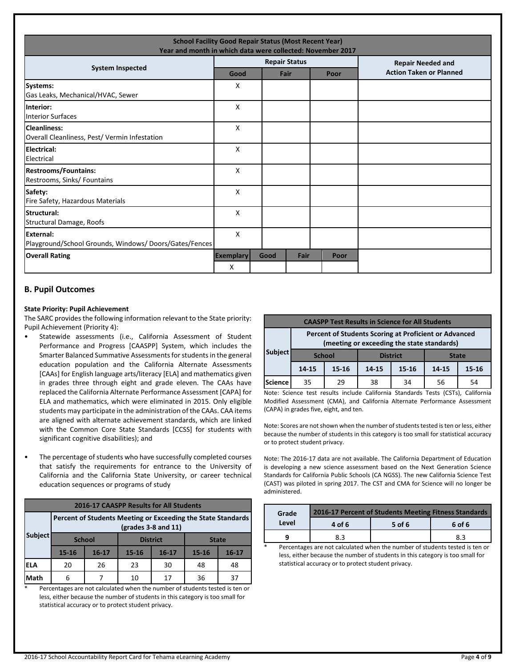| <b>School Facility Good Repair Status (Most Recent Year)</b><br>Year and month in which data were collected: November 2017 |                       |      |                      |      |                                |
|----------------------------------------------------------------------------------------------------------------------------|-----------------------|------|----------------------|------|--------------------------------|
| <b>System Inspected</b>                                                                                                    |                       |      | <b>Repair Status</b> |      | <b>Repair Needed and</b>       |
|                                                                                                                            | Good                  |      | Fair                 | Poor | <b>Action Taken or Planned</b> |
| Systems:<br>Gas Leaks, Mechanical/HVAC, Sewer                                                                              | X                     |      |                      |      |                                |
| Interior:<br><b>Interior Surfaces</b>                                                                                      | X                     |      |                      |      |                                |
| <b>Cleanliness:</b><br>Overall Cleanliness, Pest/ Vermin Infestation                                                       | X                     |      |                      |      |                                |
| Electrical:<br>Electrical                                                                                                  | X                     |      |                      |      |                                |
| <b>Restrooms/Fountains:</b><br>Restrooms, Sinks/ Fountains                                                                 | X                     |      |                      |      |                                |
| Safety:<br>Fire Safety, Hazardous Materials                                                                                | X                     |      |                      |      |                                |
| Structural:<br>Structural Damage, Roofs                                                                                    | X                     |      |                      |      |                                |
| External:<br>Playground/School Grounds, Windows/Doors/Gates/Fences                                                         | X                     |      |                      |      |                                |
| <b>Overall Rating</b>                                                                                                      | <b>Exemplary</b><br>X | Good | Fair                 | Poor |                                |

## **B. Pupil Outcomes**

#### **State Priority: Pupil Achievement**

The SARC provides the following information relevant to the State priority: Pupil Achievement (Priority 4):

- Statewide assessments (i.e., California Assessment of Student Performance and Progress [CAASPP] System, which includes the Smarter Balanced Summative Assessments for students in the general education population and the California Alternate Assessments [CAAs] for English language arts/literacy [ELA] and mathematics given in grades three through eight and grade eleven. The CAAs have replaced the California Alternate Performance Assessment [CAPA] for ELA and mathematics, which were eliminated in 2015. Only eligible students may participate in the administration of the CAAs. CAA items are aligned with alternate achievement standards, which are linked with the Common Core State Standards [CCSS] for students with significant cognitive disabilities); and
- The percentage of students who have successfully completed courses that satisfy the requirements for entrance to the University of California and the California State University, or career technical education sequences or programs of study

| <b>2016-17 CAASPP Results for All Students</b> |                                                                                                                    |           |           |                 |              |           |  |
|------------------------------------------------|--------------------------------------------------------------------------------------------------------------------|-----------|-----------|-----------------|--------------|-----------|--|
|                                                | Percent of Students Meeting or Exceeding the State Standards<br>$\left(\frac{\text{grades}}{3} - 8\right)$ and 11) |           |           |                 |              |           |  |
| <b>Subject</b>                                 | <b>School</b>                                                                                                      |           |           | <b>District</b> | <b>State</b> |           |  |
|                                                | $15 - 16$                                                                                                          | $16 - 17$ | $15 - 16$ | $16 - 17$       | $15 - 16$    | $16 - 17$ |  |
| <b>ELA</b>                                     | 20                                                                                                                 | 26        | 23        | 30              | 48           | 48        |  |
| Math                                           | 6                                                                                                                  |           | 10        | 17              | 36           | 37        |  |

Percentages are not calculated when the number of students tested is ten or less, either because the number of students in this category is too small for statistical accuracy or to protect student privacy.

| <b>CAASPP Test Results in Science for All Students</b>                                              |                                                  |           |                    |    |       |       |  |
|-----------------------------------------------------------------------------------------------------|--------------------------------------------------|-----------|--------------------|----|-------|-------|--|
| Percent of Students Scoring at Proficient or Advanced<br>(meeting or exceeding the state standards) |                                                  |           |                    |    |       |       |  |
| Subject                                                                                             | <b>District</b><br><b>School</b><br><b>State</b> |           |                    |    |       |       |  |
|                                                                                                     | 14-15                                            | $15 - 16$ | $15 - 16$<br>14-15 |    | 14-15 | 15-16 |  |
| <b>Science</b>                                                                                      | 35                                               | 29        | 38                 | 34 | 56    | 54    |  |

Note: Science test results include California Standards Tests (CSTs), California Modified Assessment (CMA), and California Alternate Performance Assessment (CAPA) in grades five, eight, and ten.

Note: Scores are not shown when the number of students tested is ten or less, either because the number of students in this category is too small for statistical accuracy or to protect student privacy.

Note: The 2016-17 data are not available. The California Department of Education is developing a new science assessment based on the Next Generation Science Standards for California Public Schools (CA NGSS). The new California Science Test (CAST) was piloted in spring 2017. The CST and CMA for Science will no longer be administered.

| Grade                        | 2016-17 Percent of Students Meeting Fitness Standards                                                           |     |  |  |  |  |  |
|------------------------------|-----------------------------------------------------------------------------------------------------------------|-----|--|--|--|--|--|
| Level                        | 5 of 6<br>6 of 6<br>4 of 6                                                                                      |     |  |  |  |  |  |
|                              | 8.3                                                                                                             | 8.3 |  |  |  |  |  |
| $\mathbf{r}$<br><b>B</b> 1 . | the contract of the countries of the contract of the contract of the contract of the contract of the contract o |     |  |  |  |  |  |

\* Percentages are not calculated when the number of students tested is ten or less, either because the number of students in this category is too small for statistical accuracy or to protect student privacy.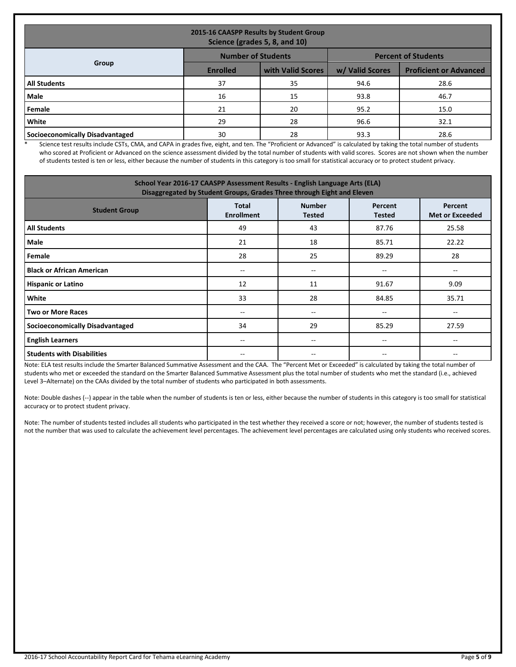| 2015-16 CAASPP Results by Student Group<br>Science (grades 5, 8, and 10) |                 |                   |                 |                               |  |  |
|--------------------------------------------------------------------------|-----------------|-------------------|-----------------|-------------------------------|--|--|
| <b>Number of Students</b><br><b>Percent of Students</b>                  |                 |                   |                 |                               |  |  |
| Group                                                                    | <b>Enrolled</b> | with Valid Scores | w/ Valid Scores | <b>Proficient or Advanced</b> |  |  |
| <b>All Students</b>                                                      | 37              | 35                | 94.6            | 28.6                          |  |  |
| Male                                                                     | 16              | 15                | 93.8            | 46.7                          |  |  |
| Female                                                                   | 21              | 20                | 95.2            | 15.0                          |  |  |
| White                                                                    | 29              | 28                | 96.6            | 32.1                          |  |  |
| Socioeconomically Disadvantaged                                          | 30              | 28                | 93.3            | 28.6                          |  |  |

\* Science test results include CSTs, CMA, and CAPA in grades five, eight, and ten. The "Proficient or Advanced" is calculated by taking the total number of students who scored at Proficient or Advanced on the science assessment divided by the total number of students with valid scores. Scores are not shown when the number of students tested is ten or less, either because the number of students in this category is too small for statistical accuracy or to protect student privacy.

| School Year 2016-17 CAASPP Assessment Results - English Language Arts (ELA)<br>Disaggregated by Student Groups, Grades Three through Eight and Eleven        |    |     |                                       |                          |  |  |  |
|--------------------------------------------------------------------------------------------------------------------------------------------------------------|----|-----|---------------------------------------|--------------------------|--|--|--|
| <b>Number</b><br><b>Total</b><br>Percent<br>Percent<br><b>Student Group</b><br><b>Enrollment</b><br><b>Met or Exceeded</b><br><b>Tested</b><br><b>Tested</b> |    |     |                                       |                          |  |  |  |
| <b>All Students</b>                                                                                                                                          | 49 | 43  | 87.76                                 | 25.58                    |  |  |  |
| Male                                                                                                                                                         | 21 | 18  | 85.71                                 | 22.22                    |  |  |  |
| Female                                                                                                                                                       | 28 | 25  | 89.29                                 | 28                       |  |  |  |
| <b>Black or African American</b>                                                                                                                             | -- | $-$ | $\hspace{0.05cm}$ – $\hspace{0.05cm}$ | $\overline{\phantom{m}}$ |  |  |  |
| <b>Hispanic or Latino</b>                                                                                                                                    | 12 | 11  | 91.67                                 | 9.09                     |  |  |  |
| White                                                                                                                                                        | 33 | 28  | 84.85                                 | 35.71                    |  |  |  |
| <b>Two or More Races</b>                                                                                                                                     | -- | $-$ | $- -$                                 | --                       |  |  |  |
| <b>Socioeconomically Disadvantaged</b>                                                                                                                       | 34 | 29  | 85.29                                 | 27.59                    |  |  |  |
| <b>English Learners</b>                                                                                                                                      | -- | $-$ | --                                    |                          |  |  |  |
| <b>Students with Disabilities</b>                                                                                                                            |    |     | --                                    |                          |  |  |  |

Note: ELA test results include the Smarter Balanced Summative Assessment and the CAA. The "Percent Met or Exceeded" is calculated by taking the total number of students who met or exceeded the standard on the Smarter Balanced Summative Assessment plus the total number of students who met the standard (i.e., achieved Level 3–Alternate) on the CAAs divided by the total number of students who participated in both assessments.

Note: Double dashes (--) appear in the table when the number of students is ten or less, either because the number of students in this category is too small for statistical accuracy or to protect student privacy.

Note: The number of students tested includes all students who participated in the test whether they received a score or not; however, the number of students tested is not the number that was used to calculate the achievement level percentages. The achievement level percentages are calculated using only students who received scores.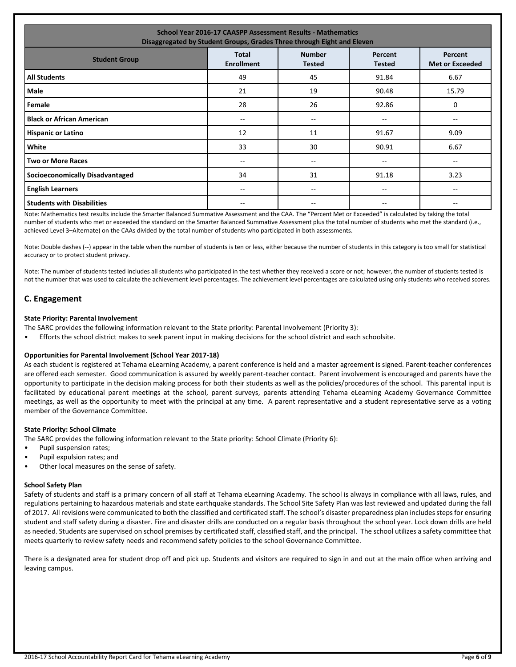| <b>School Year 2016-17 CAASPP Assessment Results - Mathematics</b><br>Disaggregated by Student Groups, Grades Three through Eight and Eleven                 |       |     |       |       |  |  |  |
|--------------------------------------------------------------------------------------------------------------------------------------------------------------|-------|-----|-------|-------|--|--|--|
| <b>Number</b><br><b>Total</b><br>Percent<br>Percent<br><b>Student Group</b><br><b>Enrollment</b><br><b>Tested</b><br><b>Met or Exceeded</b><br><b>Tested</b> |       |     |       |       |  |  |  |
| <b>All Students</b>                                                                                                                                          | 49    | 45  | 91.84 | 6.67  |  |  |  |
| Male                                                                                                                                                         | 21    | 19  | 90.48 | 15.79 |  |  |  |
| Female                                                                                                                                                       | 28    | 26  | 92.86 | 0     |  |  |  |
| <b>Black or African American</b>                                                                                                                             | --    | --  | --    |       |  |  |  |
| <b>Hispanic or Latino</b>                                                                                                                                    | 12    | 11  | 91.67 | 9.09  |  |  |  |
| White                                                                                                                                                        | 33    | 30  | 90.91 | 6.67  |  |  |  |
| <b>Two or More Races</b>                                                                                                                                     | $- -$ | $-$ | $- -$ | $- -$ |  |  |  |
| <b>Socioeconomically Disadvantaged</b>                                                                                                                       | 34    | 31  | 91.18 | 3.23  |  |  |  |
| <b>English Learners</b>                                                                                                                                      | $- -$ | --  | $- -$ | --    |  |  |  |
| <b>Students with Disabilities</b>                                                                                                                            |       |     |       |       |  |  |  |

Note: Mathematics test results include the Smarter Balanced Summative Assessment and the CAA. The "Percent Met or Exceeded" is calculated by taking the total number of students who met or exceeded the standard on the Smarter Balanced Summative Assessment plus the total number of students who met the standard (i.e., achieved Level 3–Alternate) on the CAAs divided by the total number of students who participated in both assessments.

Note: Double dashes (--) appear in the table when the number of students is ten or less, either because the number of students in this category is too small for statistical accuracy or to protect student privacy.

Note: The number of students tested includes all students who participated in the test whether they received a score or not; however, the number of students tested is not the number that was used to calculate the achievement level percentages. The achievement level percentages are calculated using only students who received scores.

## **C. Engagement**

#### **State Priority: Parental Involvement**

The SARC provides the following information relevant to the State priority: Parental Involvement (Priority 3):

• Efforts the school district makes to seek parent input in making decisions for the school district and each schoolsite.

#### **Opportunities for Parental Involvement (School Year 2017-18)**

As each student is registered at Tehama eLearning Academy, a parent conference is held and a master agreement is signed. Parent-teacher conferences are offered each semester. Good communication is assured by weekly parent-teacher contact. Parent involvement is encouraged and parents have the opportunity to participate in the decision making process for both their students as well as the policies/procedures of the school. This parental input is facilitated by educational parent meetings at the school, parent surveys, parents attending Tehama eLearning Academy Governance Committee meetings, as well as the opportunity to meet with the principal at any time. A parent representative and a student representative serve as a voting member of the Governance Committee.

#### **State Priority: School Climate**

The SARC provides the following information relevant to the State priority: School Climate (Priority 6):

- Pupil suspension rates;
- Pupil expulsion rates; and
- Other local measures on the sense of safety.

#### **School Safety Plan**

Safety of students and staff is a primary concern of all staff at Tehama eLearning Academy. The school is always in compliance with all laws, rules, and regulations pertaining to hazardous materials and state earthquake standards. The School Site Safety Plan was last reviewed and updated during the fall of 2017. All revisions were communicated to both the classified and certificated staff. The school's disaster preparedness plan includes steps for ensuring student and staff safety during a disaster. Fire and disaster drills are conducted on a regular basis throughout the school year. Lock down drills are held as needed. Students are supervised on school premises by certificated staff, classified staff, and the principal. The school utilizes a safety committee that meets quarterly to review safety needs and recommend safety policies to the school Governance Committee.

There is a designated area for student drop off and pick up. Students and visitors are required to sign in and out at the main office when arriving and leaving campus.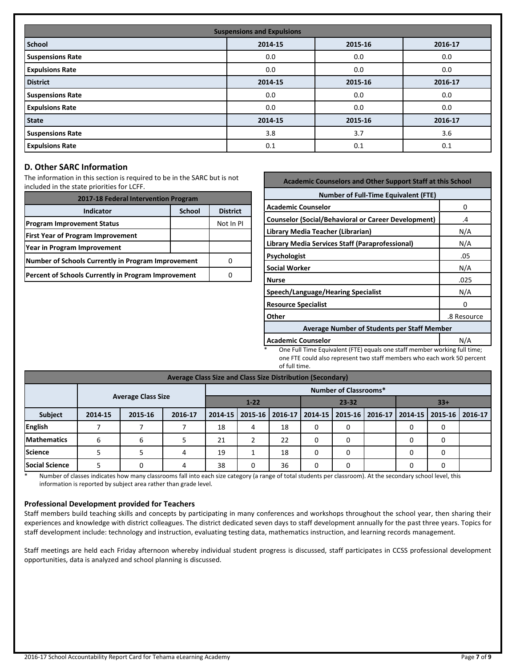| <b>Suspensions and Expulsions</b> |                               |         |         |  |  |  |  |
|-----------------------------------|-------------------------------|---------|---------|--|--|--|--|
| <b>School</b>                     | 2014-15<br>2015-16<br>2016-17 |         |         |  |  |  |  |
| <b>Suspensions Rate</b>           | 0.0                           | 0.0     | 0.0     |  |  |  |  |
| <b>Expulsions Rate</b>            | 0.0                           | 0.0     | 0.0     |  |  |  |  |
| <b>District</b>                   | 2014-15                       | 2015-16 | 2016-17 |  |  |  |  |
| <b>Suspensions Rate</b>           | 0.0                           | 0.0     | 0.0     |  |  |  |  |
| <b>Expulsions Rate</b>            | 0.0                           | 0.0     | 0.0     |  |  |  |  |
| <b>State</b>                      | 2014-15                       | 2015-16 | 2016-17 |  |  |  |  |
| <b>Suspensions Rate</b>           | 3.8                           | 3.7     | 3.6     |  |  |  |  |
| <b>Expulsions Rate</b>            | 0.1                           | 0.1     | 0.1     |  |  |  |  |

## **D. Other SARC Information**

The information in this section is required to be in the SARC but is not included in the state priorities for LCFF.

| 2017-18 Federal Intervention Program                |                 |           |  |
|-----------------------------------------------------|-----------------|-----------|--|
| <b>Indicator</b>                                    | <b>District</b> |           |  |
| <b>Program Improvement Status</b>                   |                 | Not In PI |  |
| <b>First Year of Program Improvement</b>            |                 |           |  |
| Year in Program Improvement                         |                 |           |  |
| Number of Schools Currently in Program Improvement  |                 |           |  |
| Percent of Schools Currently in Program Improvement |                 |           |  |

| <b>Academic Counselors and Other Support Staff at this School</b> |      |  |  |  |  |
|-------------------------------------------------------------------|------|--|--|--|--|
| <b>Number of Full-Time Equivalent (FTE)</b>                       |      |  |  |  |  |
| <b>Academic Counselor</b>                                         | 0    |  |  |  |  |
| <b>Counselor (Social/Behavioral or Career Development)</b>        | .4   |  |  |  |  |
| Library Media Teacher (Librarian)                                 | N/A  |  |  |  |  |
| Library Media Services Staff (Paraprofessional)                   | N/A  |  |  |  |  |
| Psychologist                                                      | .05  |  |  |  |  |
| <b>Social Worker</b>                                              | N/A  |  |  |  |  |
| <b>Nurse</b>                                                      | .025 |  |  |  |  |
| Speech/Language/Hearing Specialist                                | N/A  |  |  |  |  |
| <b>Resource Specialist</b>                                        | O    |  |  |  |  |
| Other<br>.8 Resource                                              |      |  |  |  |  |
| <b>Average Number of Students per Staff Member</b>                |      |  |  |  |  |
| <b>Academic Counselor</b><br>N/A                                  |      |  |  |  |  |

One Full Time Equivalent (FTE) equals one staff member working full time; one FTE could also represent two staff members who each work 50 percent of full time.

| Average Class Size and Class Size Distribution (Secondary) |         |                           |         |                                |   |                   |   |                   |  |                                       |  |
|------------------------------------------------------------|---------|---------------------------|---------|--------------------------------|---|-------------------|---|-------------------|--|---------------------------------------|--|
| <b>Number of Classrooms*</b>                               |         |                           |         |                                |   |                   |   |                   |  |                                       |  |
|                                                            |         | <b>Average Class Size</b> |         | $1 - 22$<br>$23 - 32$<br>$33+$ |   |                   |   |                   |  |                                       |  |
| <b>Subject</b>                                             | 2014-15 | 2015-16                   | 2016-17 | 2014-15                        |   | 2015-16   2016-17 |   | 2014-15   2015-16 |  | 2016-17   2014-15   2015-16   2016-17 |  |
| <b>English</b>                                             |         |                           |         | 18                             | 4 | 18                | 0 | 0                 |  |                                       |  |
| <b>Mathematics</b>                                         | 6       | 6                         |         | 21                             |   | 22                | 0 | 0                 |  |                                       |  |
| Science                                                    |         |                           | 4       | 19                             |   | 18                | 0 | $\Omega$          |  |                                       |  |
| <b>Social Science</b>                                      |         | 0                         | 4       | 38                             | 0 | 36                | 0 | 0                 |  |                                       |  |

\* Number of classes indicates how many classrooms fall into each size category (a range of total students per classroom). At the secondary school level, this information is reported by subject area rather than grade level.

#### **Professional Development provided for Teachers**

Staff members build teaching skills and concepts by participating in many conferences and workshops throughout the school year, then sharing their experiences and knowledge with district colleagues. The district dedicated seven days to staff development annually for the past three years. Topics for staff development include: technology and instruction, evaluating testing data, mathematics instruction, and learning records management.

Staff meetings are held each Friday afternoon whereby individual student progress is discussed, staff participates in CCSS professional development opportunities, data is analyzed and school planning is discussed.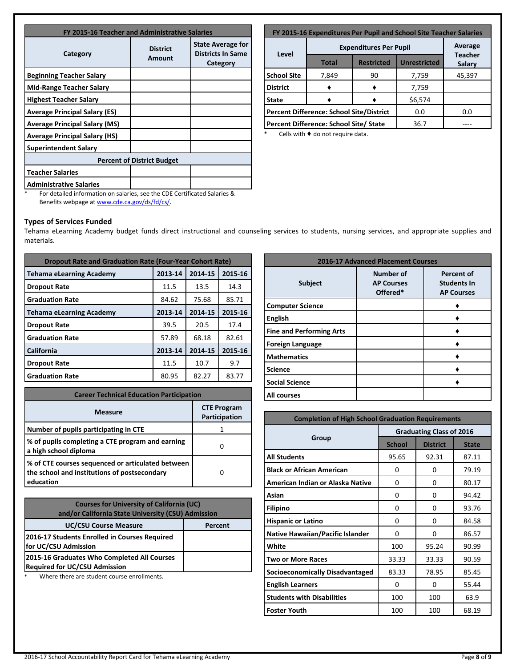| FY 2015-16 Teacher and Administrative Salaries |                           |                                                                  |  |  |
|------------------------------------------------|---------------------------|------------------------------------------------------------------|--|--|
| Category                                       | <b>District</b><br>Amount | <b>State Average for</b><br><b>Districts In Same</b><br>Category |  |  |
| <b>Beginning Teacher Salary</b>                |                           |                                                                  |  |  |
| Mid-Range Teacher Salary                       |                           |                                                                  |  |  |
| <b>Highest Teacher Salary</b>                  |                           |                                                                  |  |  |
| <b>Average Principal Salary (ES)</b>           |                           |                                                                  |  |  |
| <b>Average Principal Salary (MS)</b>           |                           |                                                                  |  |  |
| <b>Average Principal Salary (HS)</b>           |                           |                                                                  |  |  |
| <b>Superintendent Salary</b>                   |                           |                                                                  |  |  |
| <b>Percent of District Budget</b>              |                           |                                                                  |  |  |
| <b>Teacher Salaries</b>                        |                           |                                                                  |  |  |
| <b>Administrative Salaries</b>                 |                           |                                                                  |  |  |

| FY 2015-16 Expenditures Per Pupil and School Site Teacher Salaries |                                        |                   |                     |                                 |  |
|--------------------------------------------------------------------|----------------------------------------|-------------------|---------------------|---------------------------------|--|
|                                                                    | Average                                |                   |                     |                                 |  |
| Level                                                              | <b>Total</b>                           | <b>Restricted</b> | <b>Unrestricted</b> | <b>Teacher</b><br><b>Salary</b> |  |
| <b>School Site</b>                                                 | 7,849                                  | 90                | 7,759               | 45,397                          |  |
| <b>District</b>                                                    |                                        |                   | 7,759               |                                 |  |
| <b>State</b>                                                       | \$6,574                                |                   |                     |                                 |  |
| <b>Percent Difference: School Site/District</b>                    |                                        |                   | 0.0                 | 0.0                             |  |
|                                                                    | Percent Difference: School Site/ State | 36.7              |                     |                                 |  |

\* Cells with ♦ do not require data.

\* For detailed information on salaries, see the CDE Certificated Salaries & Benefits webpage a[t www.cde.ca.gov/ds/fd/cs/.](http://www.cde.ca.gov/ds/fd/cs/)

## **Types of Services Funded**

Tehama eLearning Academy budget funds direct instructional and counseling services to students, nursing services, and appropriate supplies and materials.

| <b>Dropout Rate and Graduation Rate (Four-Year Cohort Rate)</b> |         |         |         |  |  |
|-----------------------------------------------------------------|---------|---------|---------|--|--|
| <b>Tehama eLearning Academy</b>                                 | 2013-14 | 2014-15 | 2015-16 |  |  |
| <b>Dropout Rate</b>                                             | 11.5    | 13.5    | 14.3    |  |  |
| <b>Graduation Rate</b>                                          | 84.62   | 75.68   | 85.71   |  |  |
| <b>Tehama eLearning Academy</b>                                 | 2013-14 | 2014-15 | 2015-16 |  |  |
| <b>Dropout Rate</b>                                             | 39.5    | 20.5    | 17.4    |  |  |
| <b>Graduation Rate</b>                                          | 57.89   | 68.18   | 82.61   |  |  |
| California                                                      | 2013-14 | 2014-15 | 2015-16 |  |  |
| <b>Dropout Rate</b>                                             | 11.5    | 10.7    | 9.7     |  |  |
| <b>Graduation Rate</b>                                          | 80.95   | 82.27   | 83.77   |  |  |

| <b>Career Technical Education Participation</b>                                                                |                                     |  |  |
|----------------------------------------------------------------------------------------------------------------|-------------------------------------|--|--|
| <b>Measure</b>                                                                                                 | <b>CTE Program</b><br>Participation |  |  |
| Number of pupils participating in CTE                                                                          |                                     |  |  |
| % of pupils completing a CTE program and earning<br>a high school diploma                                      |                                     |  |  |
| % of CTE courses sequenced or articulated between<br>the school and institutions of postsecondary<br>education |                                     |  |  |

| <b>Courses for University of California (UC)</b><br>and/or California State University (CSU) Admission |         |  |
|--------------------------------------------------------------------------------------------------------|---------|--|
| <b>UC/CSU Course Measure</b>                                                                           | Percent |  |
| 2016-17 Students Enrolled in Courses Required<br>for UC/CSU Admission                                  |         |  |
| 2015-16 Graduates Who Completed All Courses<br><b>Required for UC/CSU Admission</b>                    |         |  |

Where there are student course enrollments.

| <b>2016-17 Advanced Placement Courses</b> |                                                   |                                                              |  |  |
|-------------------------------------------|---------------------------------------------------|--------------------------------------------------------------|--|--|
| <b>Subject</b>                            | <b>Number of</b><br><b>AP Courses</b><br>Offered* | <b>Percent of</b><br><b>Students In</b><br><b>AP Courses</b> |  |  |
| <b>Computer Science</b>                   |                                                   |                                                              |  |  |
| <b>English</b>                            |                                                   |                                                              |  |  |
| <b>Fine and Performing Arts</b>           |                                                   |                                                              |  |  |
| <b>Foreign Language</b>                   |                                                   |                                                              |  |  |
| <b>Mathematics</b>                        |                                                   |                                                              |  |  |
| <b>Science</b>                            |                                                   |                                                              |  |  |
| <b>Social Science</b>                     |                                                   |                                                              |  |  |
| All courses                               |                                                   |                                                              |  |  |

| <b>Completion of High School Graduation Requirements</b> |                                 |                 |              |  |  |
|----------------------------------------------------------|---------------------------------|-----------------|--------------|--|--|
|                                                          | <b>Graduating Class of 2016</b> |                 |              |  |  |
| Group                                                    | <b>School</b>                   | <b>District</b> | <b>State</b> |  |  |
| <b>All Students</b>                                      | 95.65                           | 92.31           | 87.11        |  |  |
| <b>Black or African American</b>                         | 0                               | 0               | 79.19        |  |  |
| American Indian or Alaska Native                         | 0                               | $\Omega$        | 80.17        |  |  |
| Asian                                                    | 0                               | 0               | 94.42        |  |  |
| <b>Filipino</b>                                          | 0                               | 0               | 93.76        |  |  |
| <b>Hispanic or Latino</b>                                | $\Omega$                        | $\Omega$        | 84.58        |  |  |
| <b>Native Hawaiian/Pacific Islander</b>                  | 0                               | 0               | 86.57        |  |  |
| White                                                    | 100                             | 95.24           | 90.99        |  |  |
| <b>Two or More Races</b>                                 | 33.33                           | 33.33           | 90.59        |  |  |
| Socioeconomically Disadvantaged                          | 83.33                           | 78.95           | 85.45        |  |  |
| <b>English Learners</b>                                  | $\Omega$                        | $\Omega$        | 55.44        |  |  |
| <b>Students with Disabilities</b>                        | 100                             | 100             | 63.9         |  |  |
| <b>Foster Youth</b>                                      | 100                             | 100             | 68.19        |  |  |